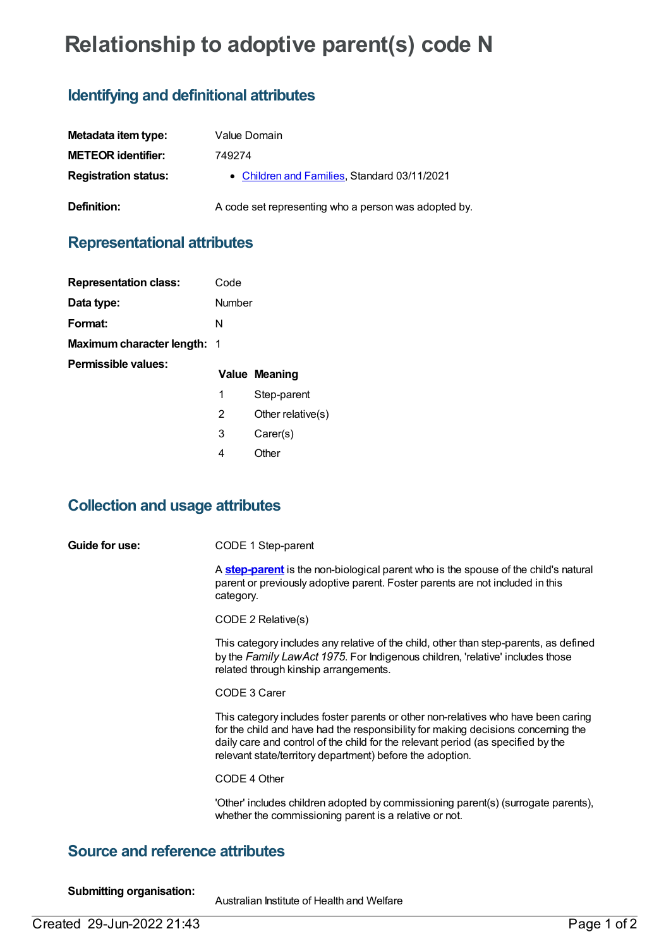# **Relationship to adoptive parent(s) code N**

## **Identifying and definitional attributes**

| Metadata item type:         | Value Domain                                         |
|-----------------------------|------------------------------------------------------|
| <b>METEOR identifier:</b>   | 749274                                               |
| <b>Registration status:</b> | • Children and Families, Standard 03/11/2021         |
| Definition:                 | A code set representing who a person was adopted by. |

### **Representational attributes**

| <b>Representation class:</b>       | Code   |                      |
|------------------------------------|--------|----------------------|
| Data type:                         | Number |                      |
| Format:                            | N      |                      |
| <b>Maximum character length: 1</b> |        |                      |
| Permissible values:                |        |                      |
|                                    |        | <b>Value Meaning</b> |
|                                    | 1      | Step-parent          |
|                                    | 2      | Other relative $(s)$ |
|                                    | 3      | Carer(s)             |

#### **Collection and usage attributes**

**Guide for use:** CODE 1 Step-parent

A **[step-parent](https://meteor.aihw.gov.au/content/749068)** is the non-biological parent who is the spouse of the child's natural parent or previously adoptive parent. Foster parents are not included in this category.

CODE 2 Relative(s)

This category includes any relative of the child, other than step-parents, as defined by the *Family LawAct 1975*. For Indigenous children, 'relative' includes those related through kinship arrangements.

CODE 3 Carer

This category includes foster parents or other non-relatives who have been caring for the child and have had the responsibility for making decisions concerning the daily care and control of the child for the relevant period (as specified by the relevant state/territory department) before the adoption.

CODE 4 Other

'Other' includes children adopted by commissioning parent(s) (surrogate parents), whether the commissioning parent is a relative or not.

#### **Source and reference attributes**

**Submitting organisation:**

Australian Institute of Health and Welfare